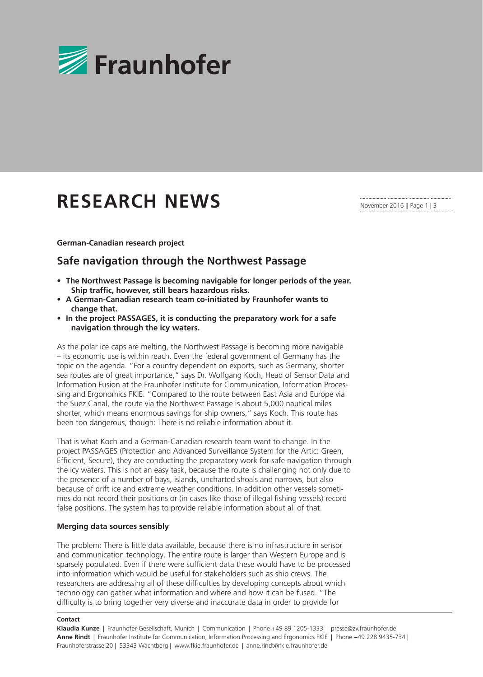

# **RESEARCH NEWS**

November 2016 || Page 1 | 3

# **German-Canadian research project**

# **Safe navigation through the Northwest Passage**

- **• The Northwest Passage is becoming navigable for longer periods of the year. Ship traffic, however, still bears hazardous risks.**
- **• A German-Canadian research team co-initiated by Fraunhofer wants to change that.**
- **• In the project PASSAGES, it is conducting the preparatory work for a safe navigation through the icy waters.**

As the polar ice caps are melting, the Northwest Passage is becoming more navigable – its economic use is within reach. Even the federal government of Germany has the topic on the agenda. "For a country dependent on exports, such as Germany, shorter sea routes are of great importance," says Dr. Wolfgang Koch, Head of Sensor Data and Information Fusion at the Fraunhofer Institute for Communication, Information Processing and Ergonomics FKIE. "Compared to the route between East Asia and Europe via the Suez Canal, the route via the Northwest Passage is about 5,000 nautical miles shorter, which means enormous savings for ship owners," says Koch. This route has been too dangerous, though: There is no reliable information about it.

That is what Koch and a German-Canadian research team want to change. In the project PASSAGES (Protection and Advanced Surveillance System for the Artic: Green, Efficient, Secure), they are conducting the preparatory work for safe navigation through the icy waters. This is not an easy task, because the route is challenging not only due to the presence of a number of bays, islands, uncharted shoals and narrows, but also because of drift ice and extreme weather conditions. In addition other vessels sometimes do not record their positions or (in cases like those of illegal fishing vessels) record false positions. The system has to provide reliable information about all of that.

# **Merging data sources sensibly**

The problem: There is little data available, because there is no infrastructure in sensor and communication technology. The entire route is larger than Western Europe and is sparsely populated. Even if there were sufficient data these would have to be processed into information which would be useful for stakeholders such as ship crews. The researchers are addressing all of these difficulties by developing concepts about which technology can gather what information and where and how it can be fused. "The difficulty is to bring together very diverse and inaccurate data in order to provide for

#### **Contact**

**Klaudia Kunze** | Fraunhofer-Gesellschaft, Munich | Communication | Phone +49 89 1205-1333 | presse@zv.fraunhofer.de **Anne Rindt** | Fraunhofer Institute for Communication, Information Processing and Ergonomics FKIE | Phone +49 228 9435-734 | Fraunhoferstrasse 20 | 53343 Wachtberg | www.fkie.fraunhofer.de | anne.rindt@fkie.fraunhofer.de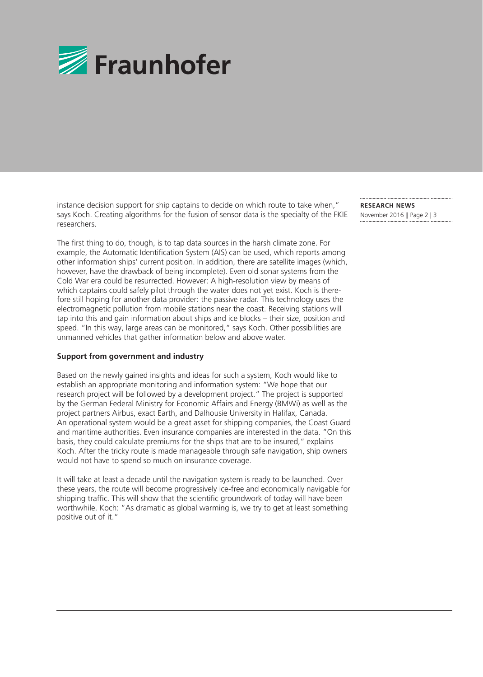

instance decision support for ship captains to decide on which route to take when," says Koch. Creating algorithms for the fusion of sensor data is the specialty of the FKIE researchers.

The first thing to do, though, is to tap data sources in the harsh climate zone. For example, the Automatic Identification System (AIS) can be used, which reports among other information ships' current position. In addition, there are satellite images (which, however, have the drawback of being incomplete). Even old sonar systems from the Cold War era could be resurrected. However: A high-resolution view by means of which captains could safely pilot through the water does not yet exist. Koch is therefore still hoping for another data provider: the passive radar. This technology uses the electromagnetic pollution from mobile stations near the coast. Receiving stations will tap into this and gain information about ships and ice blocks – their size, position and speed. "In this way, large areas can be monitored," says Koch. Other possibilities are unmanned vehicles that gather information below and above water.

# **Support from government and industry**

Based on the newly gained insights and ideas for such a system, Koch would like to establish an appropriate monitoring and information system: "We hope that our research project will be followed by a development project." The project is supported by the German Federal Ministry for Economic Affairs and Energy (BMWi) as well as the project partners Airbus, exact Earth, and Dalhousie University in Halifax, Canada. An operational system would be a great asset for shipping companies, the Coast Guard and maritime authorities. Even insurance companies are interested in the data. "On this basis, they could calculate premiums for the ships that are to be insured," explains Koch. After the tricky route is made manageable through safe navigation, ship owners would not have to spend so much on insurance coverage.

It will take at least a decade until the navigation system is ready to be launched. Over these years, the route will become progressively ice-free and economically navigable for shipping traffic. This will show that the scientific groundwork of today will have been worthwhile. Koch: "As dramatic as global warming is, we try to get at least something positive out of it."

**RESEARCH NEWS**  November 2016 || Page 2 | 3